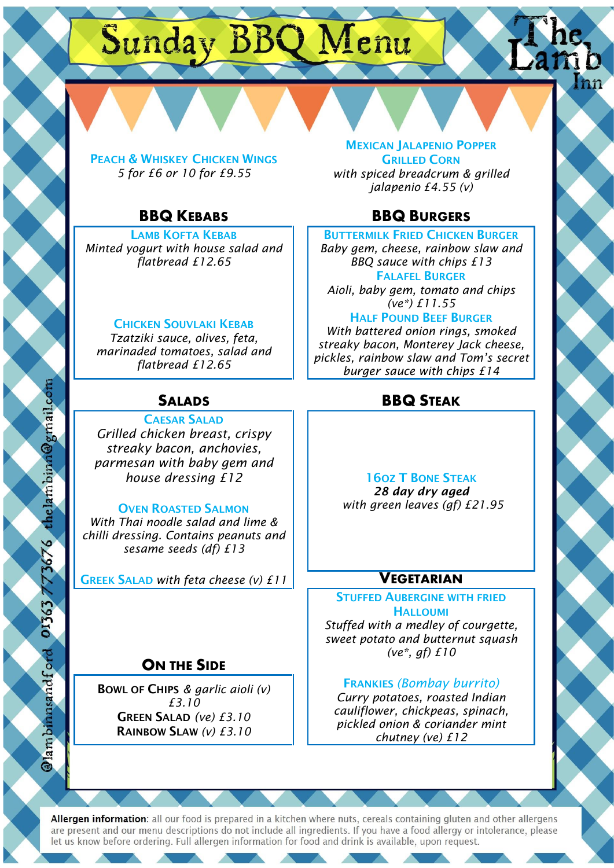# Sunday BBQ Menu

PEACH & WHISKEY CHICKEN WINGS *5 for £6 or 10 for £9.55*

LAMB KOFTA KEBAB *Minted yogurt with house salad and flatbread £12.65*

### CHICKEN SOUVLAKI KEBAB

*Tzatziki sauce, olives, feta, marinaded tomatoes, salad and flatbread £12.65*

CAESAR SALAD

*Grilled chicken breast, crispy streaky bacon, anchovies, parmesan with baby gem and house dressing £12* | | 160Z T BONE STEAK

*With Thai noodle salad and lime & chilli dressing. Contains peanuts and sesame seeds (df) £13*

GREEK SALAD *with feta cheese (v) £11* **VEGETARIAN**

## **ON THE SIDE**

BOWL OF CHIPS *& garlic aioli (v) £3.10* GREEN SALAD *(ve) £3.10* RAINBOW SLAW *(v) £3.10*

MEXICAN JALAPENIO POPPER **GRILLED CORN** *with spiced breadcrum & grilled jalapenio £4.55 (v)*

## **BBQ KEBABS** BBQ BURGERS

BUTTERMILK FRIED CHICKEN BURGER

*Baby gem, cheese, rainbow slaw and BBQ sauce with chips £13* FALAFEL BURGER

*Aioli, baby gem, tomato and chips (ve\*) £11.55*

## HALF POUND BEEF BURGER

*With battered onion rings, smoked streaky bacon, Monterey Jack cheese, pickles, rainbow slaw and Tom's secret burger sauce with chips £14*

## **SALADS BBQ STEAK**

*28 day dry aged* OVEN ROASTED SALMON *with green leaves (gf) £21.95*

STUFFED AUBERGINE WITH FRIED **HALLOUMI** 

*Stuffed with a medley of courgette, sweet potato and butternut squash (ve\*, gf) £10*

### FRANKIES *(Bombay burrito)*

*Curry potatoes, roasted Indian cauliflower, chickpeas, spinach, pickled onion & coriander mint chutney (ve) £12*

Allergen information: all our food is prepared in a kitchen where nuts, cereals containing gluten and other allergens are present and our menu descriptions do not include all ingredients. If you have a food allergy or intolerance, please let us know before ordering. Full allergen information for food and drink is available, upon request.

 $\ddot{\textcirc}$ 

i